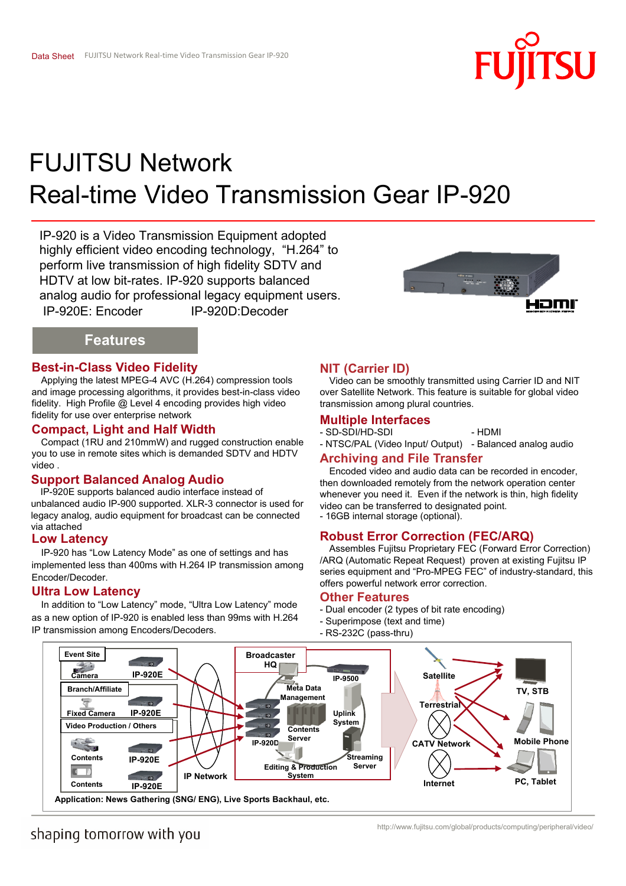

# Real-time Video Transmission Gear IP-920 FUJITSU Network

IP-920 is a Video Transmission Equipment adopted highly efficient video encoding technology, "H.264" to perform live transmission of high fidelity SDTV and HDTV at low bit-rates. IP-920 supports balanced analog audio for professional legacy equipment users. IP-920E: Encoder IP-920D:Decoder



## **Features**

### **Best-in-Class Video Fidelity**

Applying the latest MPEG-4 AVC (H.264) compression tools and image processing algorithms, it provides best-in-class video fidelity. High Profile @ Level 4 encoding provides high video fidelity for use over enterprise network **Multiple Interfaces** 

### **Compact, Light and Half Width**

Compact (1RU and 210mmW) and rugged construction enable you to use in remote sites which is demanded SDTV and HDTV video .

### **Support Balanced Analog Audio**

IP-920E supports balanced audio interface instead of unbalanced audio IP-900 supported. XLR-3 connector is used for legacy analog, audio equipment for broadcast can be connected via attached

### **Low Latency**

IP-920 has "Low Latency Mode" as one of settings and has implemented less than 400ms with H.264 IP transmission among Encoder/Decoder.

### **Ultra Low Latency**

In addition to "Low Latency" mode, "Ultra Low Latency" mode as a new option of IP-920 is enabled less than 99ms with H.264 IP transmission among Encoders/Decoders.

### **NIT (Carrier ID)**

Video can be smoothly transmitted using Carrier ID and NIT over Satellite Network. This feature is suitable for global video transmission among plural countries.

- SD-SDI/HD-SDI - HDMI

- NTSC/PAL (Video Input/ Output) - Balanced analog audio

### **Archiving and File Transfer**

Encoded video and audio data can be recorded in encoder, then downloaded remotely from the network operation center whenever you need it. Even if the network is thin, high fidelity video can be transferred to designated point. - 16GB internal storage (optional).

### **Robust Error Correction (FEC/ARQ)**

Assembles Fujitsu Proprietary FEC (Forward Error Correction) /ARQ (Automatic Repeat Request) proven at existing Fujitsu IP series equipment and "Pro-MPEG FEC" of industry-standard, this offers powerful network error correction.

### **Other Features**

- Dual encoder (2 types of bit rate encoding)
- Superimpose (text and time)
- RS-232C (pass-thru)



# shaping tomorrow with you

http://www.fujitsu.com/global/products/computing/peripheral/video/